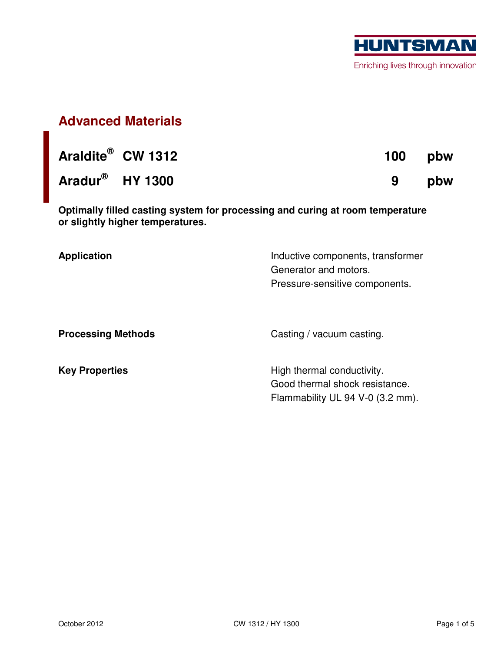

## **Advanced Materials**

|                             | Araldite <sup>®</sup> CW 1312 | 100 pbw |
|-----------------------------|-------------------------------|---------|
| Aradur <sup>®</sup> HY 1300 |                               | 9 pbw   |

**Optimally filled casting system for processing and curing at room temperature or slightly higher temperatures.** 

| <b>Application</b>        | Inductive components, transformer<br>Generator and motors.<br>Pressure-sensitive components. |  |  |
|---------------------------|----------------------------------------------------------------------------------------------|--|--|
| <b>Processing Methods</b> | Casting / vacuum casting.                                                                    |  |  |
| <b>Key Properties</b>     | High thermal conductivity.<br>Good thermal shock resistance.                                 |  |  |

Flammability UL 94 V-0 (3.2 mm).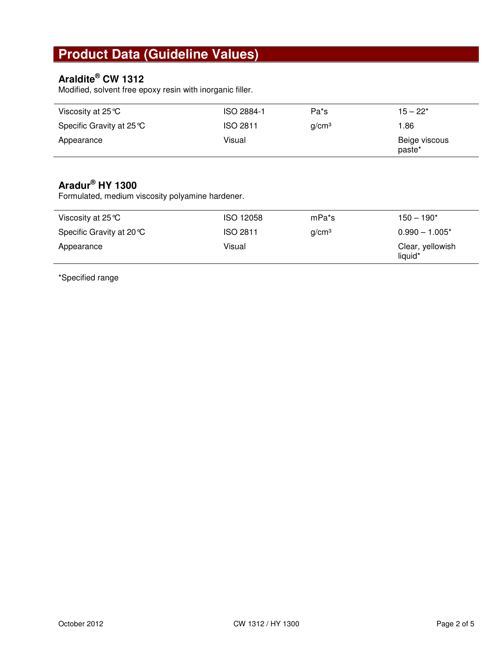# **Product Data (Guideline Values)**

#### **Araldite® CW 1312**

Modified, solvent free epoxy resin with inorganic filler.

| Viscosity at 25 ℃         | ISO 2884-1      | Pa <sup>*</sup> s | $15 - 22*$              |
|---------------------------|-----------------|-------------------|-------------------------|
| Specific Gravity at 25 °C | <b>ISO 2811</b> | q/cm <sup>3</sup> | 1.86                    |
| Appearance                | Visual          |                   | Beige viscous<br>paste* |

### **Aradur® HY 1300**

Formulated, medium viscosity polyamine hardener.

| Viscosity at 25 $\degree$ C | <b>ISO 12058</b> | mPa*s             | $150 - 190*$                |
|-----------------------------|------------------|-------------------|-----------------------------|
| Specific Gravity at 20 °C   | <b>ISO 2811</b>  | q/cm <sup>3</sup> | $0.990 - 1.005*$            |
| Appearance                  | Visual           |                   | Clear, yellowish<br>liquid* |

\*Specified range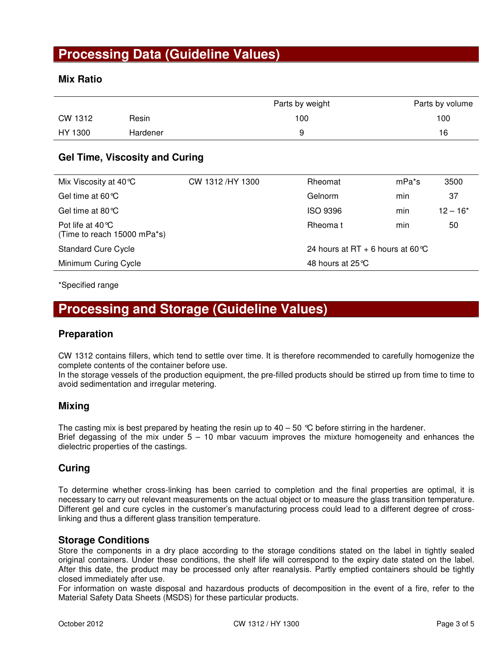### **Processing Data (Guideline Values)**

#### **Mix Ratio**

|         |          | Parts by weight | Parts by volume |
|---------|----------|-----------------|-----------------|
| CW 1312 | Resin    | 100             | 100             |
| HY 1300 | Hardener |                 | 16              |

#### **Gel Time, Viscosity and Curing**

| Mix Viscosity at 40 °C                                    | CW 1312/HY 1300 | Rheomat                           | mPa <sup>*</sup> s | 3500       |
|-----------------------------------------------------------|-----------------|-----------------------------------|--------------------|------------|
| Gel time at $60^{\circ}$ C                                |                 | Gelnorm                           | min                | 37         |
| Gel time at 80 $\degree$ C                                |                 | <b>ISO 9396</b>                   | min                | $12 - 16*$ |
| Pot life at $40^{\circ}$ C<br>(Time to reach 15000 mPa*s) |                 | Rheoma t                          | min                | 50         |
| <b>Standard Cure Cycle</b>                                |                 | 24 hours at RT + 6 hours at 60 °C |                    |            |
| Minimum Curing Cycle                                      |                 | 48 hours at $25^{\circ}$ C        |                    |            |

\*Specified range

### **Processing and Storage (Guideline Values)**

#### **Preparation**

CW 1312 contains fillers, which tend to settle over time. It is therefore recommended to carefully homogenize the complete contents of the container before use.

In the storage vessels of the production equipment, the pre-filled products should be stirred up from time to time to avoid sedimentation and irregular metering.

#### **Mixing**

The casting mix is best prepared by heating the resin up to  $40 - 50$  °C before stirring in the hardener. Brief degassing of the mix under  $5 - 10$  mbar vacuum improves the mixture homogeneity and enhances the dielectric properties of the castings.

#### **Curing**

To determine whether cross-linking has been carried to completion and the final properties are optimal, it is necessary to carry out relevant measurements on the actual object or to measure the glass transition temperature. Different gel and cure cycles in the customer's manufacturing process could lead to a different degree of crosslinking and thus a different glass transition temperature.

#### **Storage Conditions**

Store the components in a dry place according to the storage conditions stated on the label in tightly sealed original containers. Under these conditions, the shelf life will correspond to the expiry date stated on the label. After this date, the product may be processed only after reanalysis. Partly emptied containers should be tightly closed immediately after use.

For information on waste disposal and hazardous products of decomposition in the event of a fire, refer to the Material Safety Data Sheets (MSDS) for these particular products.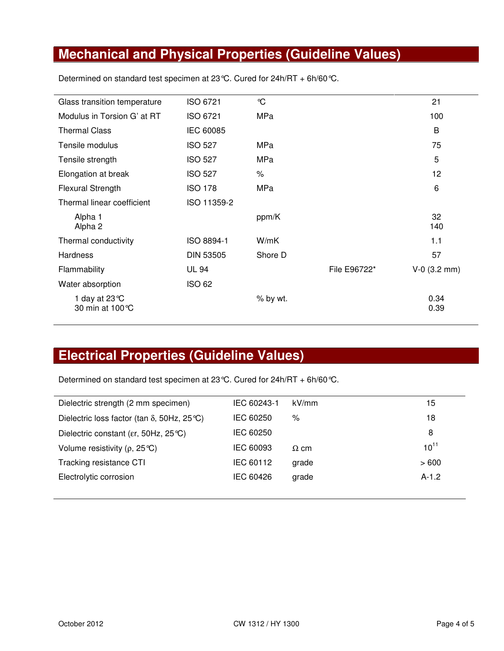# **Mechanical and Physical Properties (Guideline Values)**

| Glass transition temperature                | ISO 6721         | $\mathcal{C}$ |              | 21             |
|---------------------------------------------|------------------|---------------|--------------|----------------|
| Modulus in Torsion G' at RT                 | ISO 6721         | <b>MPa</b>    |              | 100            |
| <b>Thermal Class</b>                        | IEC 60085        |               |              | B              |
| Tensile modulus                             | <b>ISO 527</b>   | MPa           |              | 75             |
| Tensile strength                            | <b>ISO 527</b>   | MPa           |              | 5              |
| Elongation at break                         | <b>ISO 527</b>   | $\%$          |              | 12             |
| <b>Flexural Strength</b>                    | <b>ISO 178</b>   | <b>MPa</b>    |              | 6              |
| Thermal linear coefficient                  | ISO 11359-2      |               |              |                |
| Alpha 1<br>Alpha 2                          |                  | ppm/K         |              | 32<br>140      |
| Thermal conductivity                        | ISO 8894-1       | W/mK          |              | 1.1            |
| <b>Hardness</b>                             | <b>DIN 53505</b> | Shore D       |              | 57             |
| Flammability                                | <b>UL 94</b>     |               | File E96722* | $V-0$ (3.2 mm) |
| Water absorption                            | <b>ISO 62</b>    |               |              |                |
| 1 day at 23 $\degree$ C<br>30 min at 100 °C |                  | % by wt.      |              | 0.34<br>0.39   |

Determined on standard test specimen at 23°C. Cured for 24h/RT + 6h/60°C.

# **Electrical Properties (Guideline Values)**

Determined on standard test specimen at 23°C. Cured for 24h/RT + 6h/60°C.

| Dielectric strength (2 mm specimen)                 | IEC 60243-1 | kV/mm       | 15        |
|-----------------------------------------------------|-------------|-------------|-----------|
| Dielectric loss factor (tan $\delta$ , 50Hz, 25 °C) | IEC 60250   | %           | 18        |
| Dielectric constant (er, 50Hz, 25 °C)               | IEC 60250   |             | 8         |
| Volume resistivity ( $\rho$ , 25 °C)                | IEC 60093   | $\Omega$ cm | $10^{11}$ |
| Tracking resistance CTI                             | IEC 60112   | grade       | >600      |
| Electrolytic corrosion                              | IEC 60426   | grade       | $A-1.2$   |
|                                                     |             |             |           |